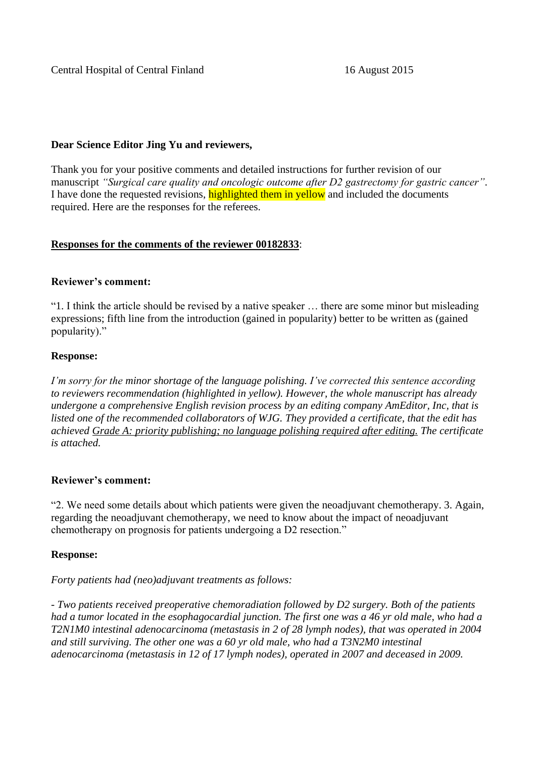Central Hospital of Central Finland 16 August 2015

# **Dear Science Editor Jing Yu and reviewers,**

Thank you for your positive comments and detailed instructions for further revision of our manuscript *"Surgical care quality and oncologic outcome after D2 gastrectomy for gastric cancer"*. I have done the requested revisions, highlighted them in yellow and included the documents required. Here are the responses for the referees.

# **Responses for the comments of the reviewer 00182833**:

# **Reviewer's comment:**

"1. I think the article should be revised by a native speaker … there are some minor but misleading expressions; fifth line from the introduction (gained in popularity) better to be written as (gained popularity)."

# **Response:**

*I'm sorry for the minor shortage of the language polishing. I've corrected this sentence according to reviewers recommendation (highlighted in yellow). However, the whole manuscript has already undergone a comprehensive English revision process by an editing company AmEditor, Inc, that is listed one of the recommended collaborators of WJG. They provided a certificate, that the edit has achieved Grade A: priority publishing; no language polishing required after editing. The certificate is attached.*

## **Reviewer's comment:**

"2. We need some details about which patients were given the neoadjuvant chemotherapy. 3. Again, regarding the neoadjuvant chemotherapy, we need to know about the impact of neoadjuvant chemotherapy on prognosis for patients undergoing a D2 resection."

# **Response:**

## *Forty patients had (neo)adjuvant treatments as follows:*

*- Two patients received preoperative chemoradiation followed by D2 surgery. Both of the patients had a tumor located in the esophagocardial junction. The first one was a 46 yr old male, who had a T2N1M0 intestinal adenocarcinoma (metastasis in 2 of 28 lymph nodes), that was operated in 2004 and still surviving. The other one was a 60 yr old male, who had a T3N2M0 intestinal adenocarcinoma (metastasis in 12 of 17 lymph nodes), operated in 2007 and deceased in 2009.*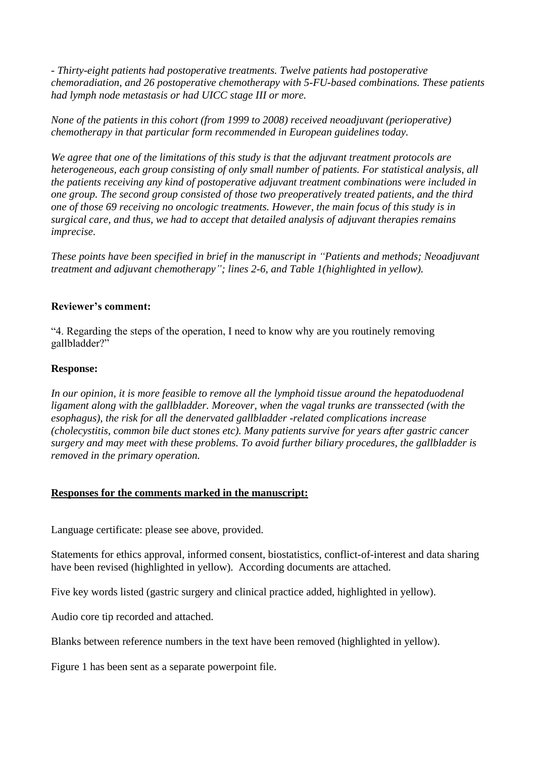*- Thirty-eight patients had postoperative treatments. Twelve patients had postoperative chemoradiation, and 26 postoperative chemotherapy with 5-FU-based combinations. These patients had lymph node metastasis or had UICC stage III or more.*

*None of the patients in this cohort (from 1999 to 2008) received neoadjuvant (perioperative) chemotherapy in that particular form recommended in European guidelines today.* 

*We agree that one of the limitations of this study is that the adjuvant treatment protocols are heterogeneous, each group consisting of only small number of patients. For statistical analysis, all the patients receiving any kind of postoperative adjuvant treatment combinations were included in one group. The second group consisted of those two preoperatively treated patients, and the third one of those 69 receiving no oncologic treatments. However, the main focus of this study is in surgical care, and thus, we had to accept that detailed analysis of adjuvant therapies remains imprecise.*

*These points have been specified in brief in the manuscript in "Patients and methods; Neoadjuvant treatment and adjuvant chemotherapy"; lines 2-6, and Table 1(highlighted in yellow).*

# **Reviewer's comment:**

"4. Regarding the steps of the operation, I need to know why are you routinely removing gallbladder?"

# **Response:**

*In our opinion, it is more feasible to remove all the lymphoid tissue around the hepatoduodenal ligament along with the gallbladder. Moreover, when the vagal trunks are transsected (with the esophagus), the risk for all the denervated gallbladder -related complications increase (cholecystitis, common bile duct stones etc). Many patients survive for years after gastric cancer surgery and may meet with these problems. To avoid further biliary procedures, the gallbladder is removed in the primary operation.*

## **Responses for the comments marked in the manuscript:**

Language certificate: please see above, provided.

Statements for ethics approval, informed consent, biostatistics, conflict-of-interest and data sharing have been revised (highlighted in yellow). According documents are attached.

Five key words listed (gastric surgery and clinical practice added, highlighted in yellow).

Audio core tip recorded and attached.

Blanks between reference numbers in the text have been removed (highlighted in yellow).

Figure 1 has been sent as a separate powerpoint file.